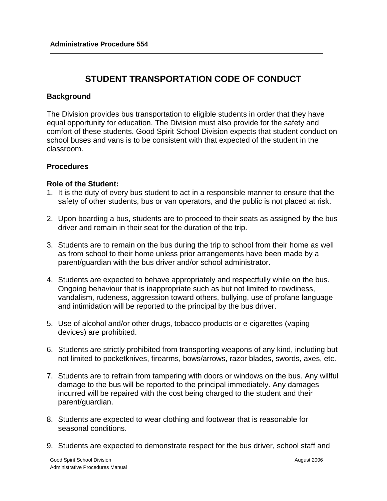# **STUDENT TRANSPORTATION CODE OF CONDUCT**

# **Background**

The Division provides bus transportation to eligible students in order that they have equal opportunity for education. The Division must also provide for the safety and comfort of these students. Good Spirit School Division expects that student conduct on school buses and vans is to be consistent with that expected of the student in the classroom.

# **Procedures**

# **Role of the Student:**

- 1. It is the duty of every bus student to act in a responsible manner to ensure that the safety of other students, bus or van operators, and the public is not placed at risk.
- 2. Upon boarding a bus, students are to proceed to their seats as assigned by the bus driver and remain in their seat for the duration of the trip.
- 3. Students are to remain on the bus during the trip to school from their home as well as from school to their home unless prior arrangements have been made by a parent/guardian with the bus driver and/or school administrator.
- 4. Students are expected to behave appropriately and respectfully while on the bus. Ongoing behaviour that is inappropriate such as but not limited to rowdiness, vandalism, rudeness, aggression toward others, bullying, use of profane language and intimidation will be reported to the principal by the bus driver.
- 5. Use of alcohol and/or other drugs, tobacco products or e-cigarettes (vaping devices) are prohibited.
- 6. Students are strictly prohibited from transporting weapons of any kind, including but not limited to pocketknives, firearms, bows/arrows, razor blades, swords, axes, etc.
- 7. Students are to refrain from tampering with doors or windows on the bus. Any willful damage to the bus will be reported to the principal immediately. Any damages incurred will be repaired with the cost being charged to the student and their parent/guardian.
- 8. Students are expected to wear clothing and footwear that is reasonable for seasonal conditions.
- 9. Students are expected to demonstrate respect for the bus driver, school staff and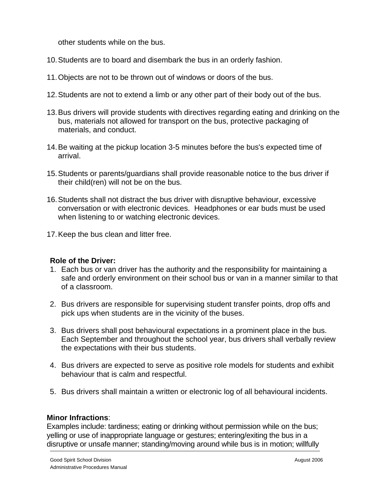other students while on the bus.

- 10.Students are to board and disembark the bus in an orderly fashion.
- 11.Objects are not to be thrown out of windows or doors of the bus.
- 12.Students are not to extend a limb or any other part of their body out of the bus.
- 13.Bus drivers will provide students with directives regarding eating and drinking on the bus, materials not allowed for transport on the bus, protective packaging of materials, and conduct.
- 14.Be waiting at the pickup location 3-5 minutes before the bus's expected time of arrival.
- 15.Students or parents/guardians shall provide reasonable notice to the bus driver if their child(ren) will not be on the bus.
- 16.Students shall not distract the bus driver with disruptive behaviour, excessive conversation or with electronic devices. Headphones or ear buds must be used when listening to or watching electronic devices.
- 17.Keep the bus clean and litter free.

# **Role of the Driver:**

- 1. Each bus or van driver has the authority and the responsibility for maintaining a safe and orderly environment on their school bus or van in a manner similar to that of a classroom.
- 2. Bus drivers are responsible for supervising student transfer points, drop offs and pick ups when students are in the vicinity of the buses.
- 3. Bus drivers shall post behavioural expectations in a prominent place in the bus. Each September and throughout the school year, bus drivers shall verbally review the expectations with their bus students.
- 4. Bus drivers are expected to serve as positive role models for students and exhibit behaviour that is calm and respectful.
- 5. Bus drivers shall maintain a written or electronic log of all behavioural incidents.

# **Minor Infractions**:

Examples include: tardiness; eating or drinking without permission while on the bus; yelling or use of inappropriate language or gestures; entering/exiting the bus in a disruptive or unsafe manner; standing/moving around while bus is in motion; willfully